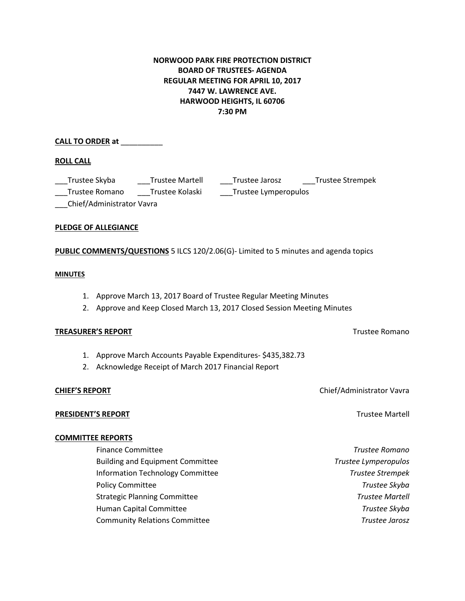## **NORWOOD PARK FIRE PROTECTION DISTRICT BOARD OF TRUSTEES- AGENDA REGULAR MEETING FOR APRIL 10, 2017 7447 W. LAWRENCE AVE. HARWOOD HEIGHTS, IL 60706 7:30 PM**

### **CALL TO ORDER at** \_\_\_\_\_\_\_\_\_\_

### **ROLL CALL**

\_\_\_Trustee Skyba \_\_\_Trustee Martell \_\_\_Trustee Jarosz \_\_\_Trustee Strempek

\_\_\_Trustee Romano \_\_\_Trustee Kolaski \_\_\_Trustee Lymperopulos

\_\_\_Chief/Administrator Vavra

### **PLEDGE OF ALLEGIANCE**

**PUBLIC COMMENTS/QUESTIONS** 5 ILCS 120/2.06(G)- Limited to 5 minutes and agenda topics

### **MINUTES**

- 1. Approve March 13, 2017 Board of Trustee Regular Meeting Minutes
- 2. Approve and Keep Closed March 13, 2017 Closed Session Meeting Minutes

### **TREASURER'S REPORT** TREASURER'S REPORT

- 1. Approve March Accounts Payable Expenditures- \$435,382.73
- 2. Acknowledge Receipt of March 2017 Financial Report

### **CHIEF'S REPORT** Chief/Administrator Vavra

**PRESIDENT'S REPORT Trustee Martell** 

# **COMMITTEE REPORTS**

| <b>Finance Committee</b>                | <b>Trustee Romano</b>   |
|-----------------------------------------|-------------------------|
| <b>Building and Equipment Committee</b> | Trustee Lymperopulos    |
| Information Technology Committee        | <b>Trustee Strempek</b> |
| <b>Policy Committee</b>                 | Trustee Skyba           |
| <b>Strategic Planning Committee</b>     | Trustee Martell         |
| Human Capital Committee                 | Trustee Skyba           |
| <b>Community Relations Committee</b>    | <b>Trustee Jarosz</b>   |